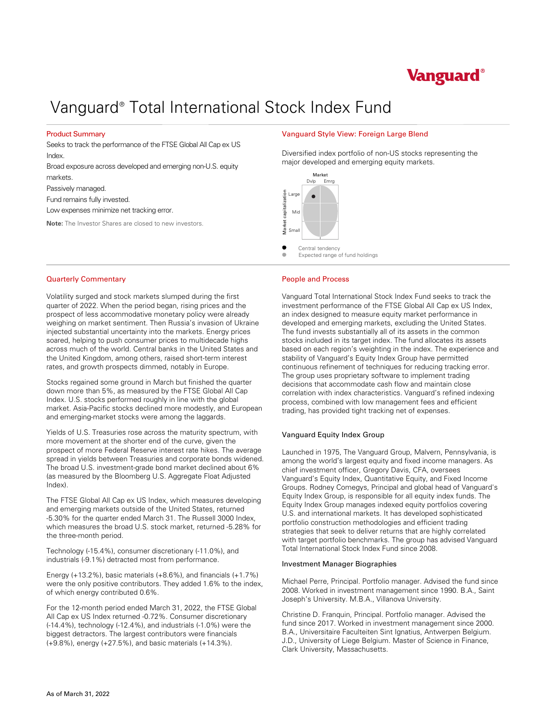

# Vanguard® Total International Stock Index Fund

#### Product Summary

Seeks to track the performance of the FTSE Global All Cap ex US Index.

Broad exposure across developed and emerging non-U.S. equity markets.

Passively managed.

Fund remains fully invested.

Low expenses minimize net tracking error.

**Note:** The Investor Shares are closed to new investors.

### Vanguard Style View: Foreign Large Blend

Diversified index portfolio of non-US stocks representing the major developed and emerging equity markets.



Expected range of fund holdings

### Quarterly Commentary

Volatility surged and stock markets slumped during the first quarter of 2022. When the period began, rising prices and the prospect of less accommodative monetary policy were already weighing on market sentiment. Then Russia's invasion of Ukraine injected substantial uncertainty into the markets. Energy prices soared, helping to push consumer prices to multidecade highs across much of the world. Central banks in the United States and the United Kingdom, among others, raised short-term interest rates, and growth prospects dimmed, notably in Europe.

Stocks regained some ground in March but finished the quarter down more than 5%, as measured by the FTSE Global All Cap Index. U.S. stocks performed roughly in line with the global market. Asia-Pacific stocks declined more modestly, and European and emerging-market stocks were among the laggards.

Yields of U.S. Treasuries rose across the maturity spectrum, with more movement at the shorter end of the curve, given the prospect of more Federal Reserve interest rate hikes. The average spread in yields between Treasuries and corporate bonds widened. The broad U.S. investment-grade bond market declined about 6% (as measured by the Bloomberg U.S. Aggregate Float Adjusted Index).

The FTSE Global All Cap ex US Index, which measures developing and emerging markets outside of the United States, returned -5.30% for the quarter ended March 31. The Russell 3000 Index, which measures the broad U.S. stock market, returned -5.28% for the three-month period.

Technology (-15.4%), consumer discretionary (-11.0%), and industrials (-9.1%) detracted most from performance.

Energy (+13.2%), basic materials (+8.6%), and financials (+1.7%) were the only positive contributors. They added 1.6% to the index, of which energy contributed 0.6%.

For the 12-month period ended March 31, 2022, the FTSE Global All Cap ex US Index returned -0.72%. Consumer discretionary (-14.4%), technology (-12.4%), and industrials (-1.0%) were the biggest detractors. The largest contributors were financials (+9.8%), energy (+27.5%), and basic materials (+14.3%).

### People and Process

Vanguard Total International Stock Index Fund seeks to track the investment performance of the FTSE Global All Cap ex US Index, an index designed to measure equity market performance in developed and emerging markets, excluding the United States. The fund invests substantially all of its assets in the common stocks included in its target index. The fund allocates its assets based on each region's weighting in the index. The experience and stability of Vanguard's Equity Index Group have permitted continuous refinement of techniques for reducing tracking error. The group uses proprietary software to implement trading decisions that accommodate cash flow and maintain close correlation with index characteristics. Vanguard's refined indexing process, combined with low management fees and efficient trading, has provided tight tracking net of expenses.

### Vanguard Equity Index Group

Launched in 1975, The Vanguard Group, Malvern, Pennsylvania, is among the world's largest equity and fixed income managers. As chief investment officer, Gregory Davis, CFA, oversees Vanguard's Equity Index, Quantitative Equity, and Fixed Income Groups. Rodney Comegys, Principal and global head of Vanguard's Equity Index Group, is responsible for all equity index funds. The Equity Index Group manages indexed equity portfolios covering U.S. and international markets. It has developed sophisticated portfolio construction methodologies and efficient trading strategies that seek to deliver returns that are highly correlated with target portfolio benchmarks. The group has advised Vanguard Total International Stock Index Fund since 2008.

#### Investment Manager Biographies

Michael Perre, Principal. Portfolio manager. Advised the fund since 2008. Worked in investment management since 1990. B.A., Saint Joseph's University. M.B.A., Villanova University.

Christine D. Franquin, Principal. Portfolio manager. Advised the fund since 2017. Worked in investment management since 2000. B.A., Universitaire Faculteiten Sint Ignatius, Antwerpen Belgium. J.D., University of Liege Belgium. Master of Science in Finance, Clark University, Massachusetts.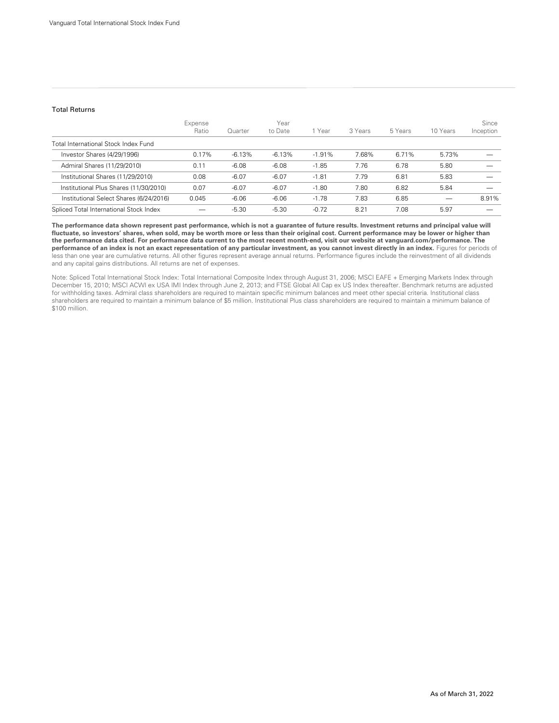#### Total Returns

|                                         | Expense<br>Ratio | Quarter  | Year<br>to Date | 1 Year   | 3 Years | 5 Years | 10 Years | Since<br>Inception |
|-----------------------------------------|------------------|----------|-----------------|----------|---------|---------|----------|--------------------|
| Total International Stock Index Fund    |                  |          |                 |          |         |         |          |                    |
| Investor Shares (4/29/1996)             | 0.17%            | $-6.13%$ | $-6.13%$        | $-1.91%$ | 7.68%   | 6.71%   | 5.73%    |                    |
| Admiral Shares (11/29/2010)             | 0.11             | $-6.08$  | $-6.08$         | $-1.85$  | 7.76    | 6.78    | 5.80     |                    |
| Institutional Shares (11/29/2010)       | 0.08             | $-6.07$  | $-6.07$         | $-1.81$  | 7.79    | 6.81    | 5.83     |                    |
| Institutional Plus Shares (11/30/2010)  | 0.07             | $-6.07$  | $-6.07$         | $-1.80$  | 7.80    | 6.82    | 5.84     |                    |
| Institutional Select Shares (6/24/2016) | 0.045            | $-6.06$  | $-6.06$         | $-1.78$  | 7.83    | 6.85    | _        | 8.91%              |
| Spliced Total International Stock Index |                  | $-5.30$  | $-5.30$         | $-0.72$  | 8.21    | 7.08    | 5.97     |                    |

**The performance data shown represent past performance, which is not a guarantee of future results. Investment returns and principal value will fluctuate, so investors' shares, when sold, may be worth more or less than their original cost. Current performance may be lower or higher than the performance data cited. For performance data current to the most recent month-end, visit our website at vanguard.com/performance. The performance of an index is not an exact representation of any particular investment, as you cannot invest directly in an index.** Figures for periods of less than one year are cumulative returns. All other figures represent average annual returns. Performance figures include the reinvestment of all dividends and any capital gains distributions. All returns are net of expenses.

Note: Spliced Total International Stock Index: Total International Composite Index through August 31, 2006; MSCI EAFE + Emerging Markets Index through December 15, 2010; MSCI ACWI ex USA IMI Index through June 2, 2013; and FTSE Global All Cap ex US Index thereafter. Benchmark returns are adjusted for withholding taxes. Admiral class shareholders are required to maintain specific minimum balances and meet other special criteria. Institutional class shareholders are required to maintain a minimum balance of \$5 million. Institutional Plus class shareholders are required to maintain a minimum balance of \$100 million.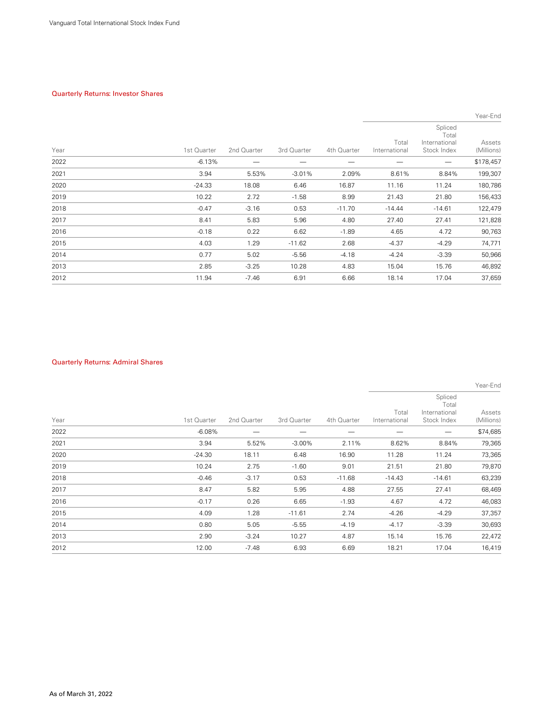## Quarterly Returns: Investor Shares

|      |             |             |             |             |                        | Year-End                                         |                      |
|------|-------------|-------------|-------------|-------------|------------------------|--------------------------------------------------|----------------------|
| Year | 1st Quarter | 2nd Quarter | 3rd Quarter | 4th Quarter | Total<br>International | Spliced<br>Total<br>International<br>Stock Index | Assets<br>(Millions) |
| 2022 | $-6.13%$    |             |             |             |                        | $\qquad \qquad -$                                | \$178,457            |
| 2021 | 3.94        | 5.53%       | $-3.01%$    | 2.09%       | 8.61%                  | 8.84%                                            | 199,307              |
| 2020 | $-24.33$    | 18.08       | 6.46        | 16.87       | 11.16                  | 11.24                                            | 180,786              |
| 2019 | 10.22       | 2.72        | $-1.58$     | 8.99        | 21.43                  | 21.80                                            | 156,433              |
| 2018 | $-0.47$     | $-3.16$     | 0.53        | $-11.70$    | $-14.44$               | $-14.61$                                         | 122,479              |
| 2017 | 8.41        | 5.83        | 5.96        | 4.80        | 27.40                  | 27.41                                            | 121,828              |
| 2016 | $-0.18$     | 0.22        | 6.62        | $-1.89$     | 4.65                   | 4.72                                             | 90,763               |
| 2015 | 4.03        | 1.29        | $-11.62$    | 2.68        | $-4.37$                | $-4.29$                                          | 74,771               |
| 2014 | 0.77        | 5.02        | $-5.56$     | $-4.18$     | $-4.24$                | $-3.39$                                          | 50,966               |
| 2013 | 2.85        | $-3.25$     | 10.28       | 4.83        | 15.04                  | 15.76                                            | 46,892               |
| 2012 | 11.94       | $-7.46$     | 6.91        | 6.66        | 18.14                  | 17.04                                            | 37,659               |
|      |             |             |             |             |                        |                                                  |                      |

## Quarterly Returns: Admiral Shares

|      |             |             |             |             |                        | Year-End                                         |                      |  |
|------|-------------|-------------|-------------|-------------|------------------------|--------------------------------------------------|----------------------|--|
| Year | 1st Quarter | 2nd Quarter | 3rd Quarter | 4th Quarter | Total<br>International | Spliced<br>Total<br>International<br>Stock Index | Assets<br>(Millions) |  |
| 2022 | $-6.08%$    |             |             |             | -                      | –                                                | \$74,685             |  |
| 2021 | 3.94        | 5.52%       | $-3.00\%$   | 2.11%       | 8.62%                  | 8.84%                                            | 79,365               |  |
| 2020 | $-24.30$    | 18.11       | 6.48        | 16.90       | 11.28                  | 11.24                                            | 73,365               |  |
| 2019 | 10.24       | 2.75        | $-1.60$     | 9.01        | 21.51                  | 21.80                                            | 79,870               |  |
| 2018 | $-0.46$     | $-3.17$     | 0.53        | $-11.68$    | $-14.43$               | $-14.61$                                         | 63,239               |  |
| 2017 | 8.47        | 5.82        | 5.95        | 4.88        | 27.55                  | 27.41                                            | 68,469               |  |
| 2016 | $-0.17$     | 0.26        | 6.65        | $-1.93$     | 4.67                   | 4.72                                             | 46,083               |  |
| 2015 | 4.09        | 1.28        | $-11.61$    | 2.74        | $-4.26$                | $-4.29$                                          | 37,357               |  |
| 2014 | 0.80        | 5.05        | $-5.55$     | $-4.19$     | $-4.17$                | $-3.39$                                          | 30,693               |  |
| 2013 | 2.90        | $-3.24$     | 10.27       | 4.87        | 15.14                  | 15.76                                            | 22,472               |  |
| 2012 | 12.00       | $-7.48$     | 6.93        | 6.69        | 18.21                  | 17.04                                            | 16,419               |  |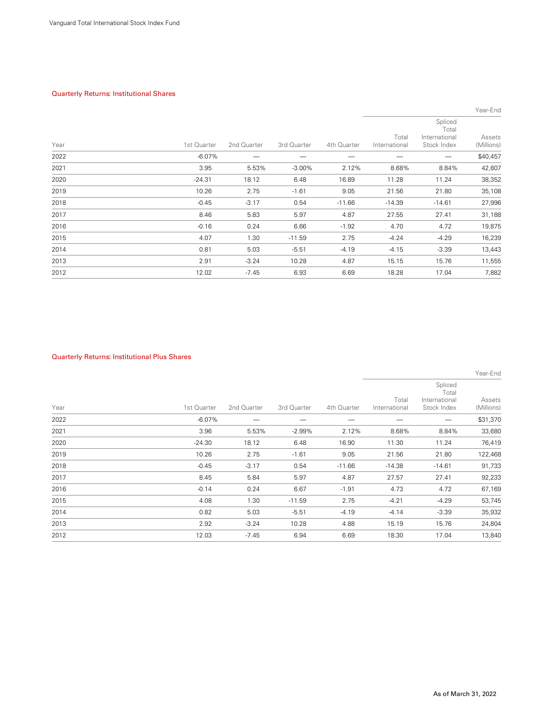## Quarterly Returns: Institutional Shares

|             |             |             |             |                        | Year-End                                         |                      |
|-------------|-------------|-------------|-------------|------------------------|--------------------------------------------------|----------------------|
| 1st Quarter | 2nd Quarter | 3rd Quarter | 4th Quarter | Total<br>International | Spliced<br>Total<br>International<br>Stock Index | Assets<br>(Millions) |
| $-6.07%$    |             |             |             |                        | —                                                | \$40,457             |
| 3.95        | 5.53%       | $-3.00\%$   | 2.12%       | 8.68%                  | 8.84%                                            | 42,807               |
| $-24.31$    | 18.12       | 6.48        | 16.89       | 11.28                  | 11.24                                            | 38,352               |
| 10.26       | 2.75        | $-1.61$     | 9.05        | 21.56                  | 21.80                                            | 35,108               |
| $-0.45$     | $-3.17$     | 0.54        | $-11.66$    | $-14.39$               | $-14.61$                                         | 27,996               |
| 8.46        | 5.83        | 5.97        | 4.87        | 27.55                  | 27.41                                            | 31,188               |
| $-0.16$     | 0.24        | 6.66        | $-1.92$     | 4.70                   | 4.72                                             | 19,875               |
| 4.07        | 1.30        | $-11.59$    | 2.75        | $-4.24$                | $-4.29$                                          | 16,239               |
| 0.81        | 5.03        | $-5.51$     | $-4.19$     | $-4.15$                | $-3.39$                                          | 13,443               |
| 2.91        | $-3.24$     | 10.28       | 4.87        | 15.15                  | 15.76                                            | 11,555               |
| 12.02       | $-7.45$     | 6.93        | 6.69        | 18.28                  | 17.04                                            | 7,882                |
|             |             |             |             |                        |                                                  |                      |

## Quarterly Returns: Institutional Plus Shares

|      |             |             |             |             |                        |                                                  | Year-End             |
|------|-------------|-------------|-------------|-------------|------------------------|--------------------------------------------------|----------------------|
| Year | 1st Quarter | 2nd Quarter | 3rd Quarter | 4th Quarter | Total<br>International | Spliced<br>Total<br>International<br>Stock Index | Assets<br>(Millions) |
| 2022 | $-6.07%$    |             |             |             |                        |                                                  | \$31,370             |
| 2021 | 3.96        | 5.53%       | $-2.99%$    | 2.12%       | 8.68%                  | 8.84%                                            | 33,680               |
| 2020 | $-24.30$    | 18.12       | 6.48        | 16.90       | 11.30                  | 11.24                                            | 76,419               |
| 2019 | 10.26       | 2.75        | $-1.61$     | 9.05        | 21.56                  | 21.80                                            | 122,468              |
| 2018 | $-0.45$     | $-3.17$     | 0.54        | $-11.66$    | $-14.38$               | $-14.61$                                         | 91,733               |
| 2017 | 8.45        | 5.84        | 5.97        | 4.87        | 27.57                  | 27.41                                            | 92,233               |
| 2016 | $-0.14$     | 0.24        | 6.67        | $-1.91$     | 4.73                   | 4.72                                             | 67,169               |
| 2015 | 4.08        | 1.30        | $-11.59$    | 2.75        | $-4.21$                | $-4.29$                                          | 53,745               |
| 2014 | 0.82        | 5.03        | $-5.51$     | $-4.19$     | $-4.14$                | $-3.39$                                          | 35,932               |
| 2013 | 2.92        | $-3.24$     | 10.28       | 4.88        | 15.19                  | 15.76                                            | 24,804               |
| 2012 | 12.03       | $-7.45$     | 6.94        | 6.69        | 18.30                  | 17.04                                            | 13,840               |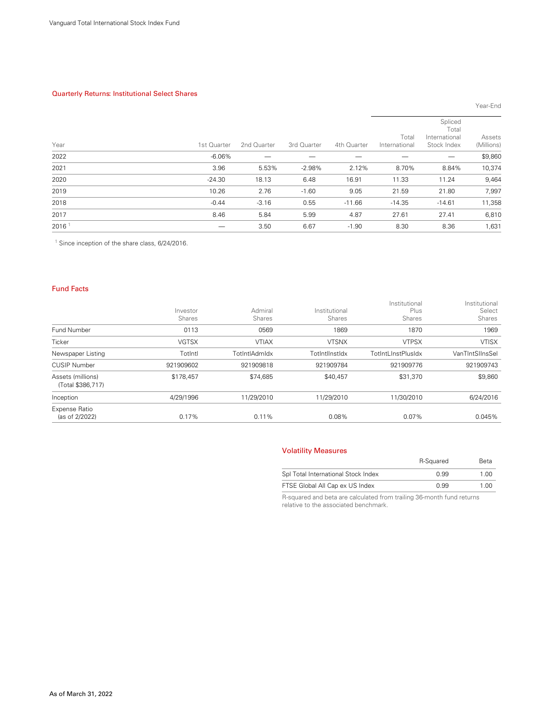## Quarterly Returns: Institutional Select Shares

#### Year-End

| Year              | 1st Quarter | 2nd Quarter | 3rd Quarter | 4th Quarter | Total<br>International | Spliced<br>Total<br>International<br>Stock Index | Assets<br>(Millions) |
|-------------------|-------------|-------------|-------------|-------------|------------------------|--------------------------------------------------|----------------------|
| 2022              | $-6.06%$    |             |             |             |                        |                                                  | \$9,860              |
| 2021              | 3.96        | 5.53%       | $-2.98%$    | 2.12%       | 8.70%                  | 8.84%                                            | 10,374               |
| 2020              | $-24.30$    | 18.13       | 6.48        | 16.91       | 11.33                  | 11.24                                            | 9,464                |
| 2019              | 10.26       | 2.76        | $-1.60$     | 9.05        | 21.59                  | 21.80                                            | 7,997                |
| 2018              | $-0.44$     | $-3.16$     | 0.55        | $-11.66$    | $-14.35$               | $-14.61$                                         | 11,358               |
| 2017              | 8.46        | 5.84        | 5.99        | 4.87        | 27.61                  | 27.41                                            | 6,810                |
| 2016 <sup>1</sup> |             | 3.50        | 6.67        | $-1.90$     | 8.30                   | 8.36                                             | 1,631                |

<sup>1</sup> Since inception of the share class, 6/24/2016.

## Fund Facts

|                                        |               |               |                | Institutional      | Institutional   |
|----------------------------------------|---------------|---------------|----------------|--------------------|-----------------|
|                                        | Investor      | Admiral       | Institutional  | Plus               | Select          |
|                                        | <b>Shares</b> | <b>Shares</b> | Shares         | Shares             | <b>Shares</b>   |
| Fund Number                            | 0113          | 0569          | 1869           | 1870               | 1969            |
| Ticker                                 | <b>VGTSX</b>  | <b>VTIAX</b>  | <b>VTSNX</b>   | <b>VTPSX</b>       | <b>VTISX</b>    |
| Newspaper Listing                      | TotIntl       | TotIntlAdmldx | TotIntlInstIdx | TotIntLInstPlusIdx | VanTIntSIInsSel |
| <b>CUSIP Number</b>                    | 921909602     | 921909818     | 921909784      | 921909776          | 921909743       |
| Assets (millions)<br>(Total \$386,717) | \$178,457     | \$74,685      | \$40,457       | \$31,370           | \$9,860         |
| Inception                              | 4/29/1996     | 11/29/2010    | 11/29/2010     | 11/30/2010         | 6/24/2016       |
| Expense Ratio                          |               |               |                |                    |                 |
| (as of 2/2022)                         | 0.17%         | 0.11%         | 0.08%          | 0.07%              | 0.045%          |

## Volatility Measures

|                                     | R-Sauared | <b>Beta</b> |
|-------------------------------------|-----------|-------------|
| Spl Total International Stock Index | O 99      | 1.00        |
| FTSE Global All Cap ex US Index     | O 99      | 1.00        |

R-squared and beta are calculated from trailing 36-month fund returns relative to the associated benchmark.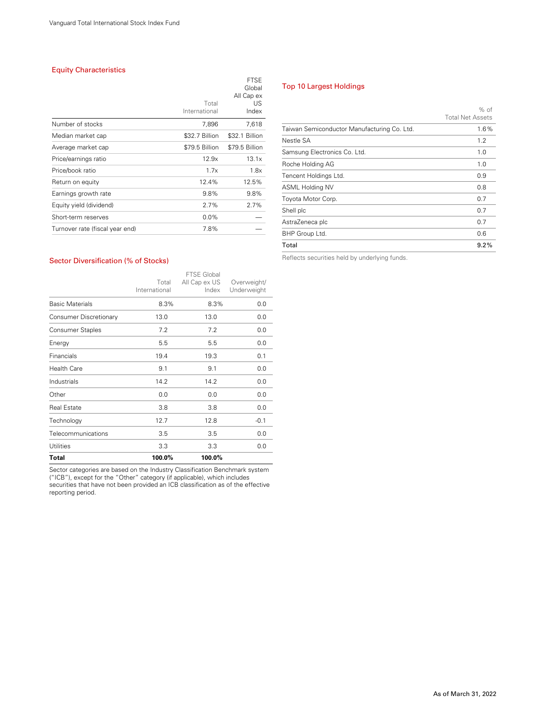## Equity Characteristics

|                                 | Total<br>International | <b>FTSE</b><br>Global<br>All Cap ex<br>US<br>Index |
|---------------------------------|------------------------|----------------------------------------------------|
| Number of stocks                | 7,896                  | 7,618                                              |
| Median market cap               | \$32.7 Billion         | \$32.1 Billion                                     |
| Average market cap              | \$79.5 Billion         | \$79.5 Billion                                     |
| Price/earnings ratio            | 12.9x                  | 13.1x                                              |
| Price/book ratio                | 1.7x                   | 1.8x                                               |
| Return on equity                | 12.4%                  | 12.5%                                              |
| Earnings growth rate            | 9.8%                   | 9.8%                                               |
| Equity yield (dividend)         | 2.7%                   | 2.7%                                               |
| Short-term reserves             | $0.0\%$                |                                                    |
| Turnover rate (fiscal year end) | 7.8%                   |                                                    |
|                                 |                        |                                                    |

## Sector Diversification (% of Stocks)

|                               | Total         | <b>FTSE Global</b><br>All Cap ex US | Overweight/ |
|-------------------------------|---------------|-------------------------------------|-------------|
|                               | International | Index                               | Underweight |
| <b>Basic Materials</b>        | 8.3%          | 8.3%                                | 0.0         |
| <b>Consumer Discretionary</b> | 13.0          | 13.0                                | 0.0         |
| <b>Consumer Staples</b>       | 7.2           | 7.2                                 | 0.0         |
| Energy                        | 5.5           | 5.5                                 | 0.0         |
| Financials                    | 19.4          | 19.3                                | 0.1         |
| <b>Health Care</b>            | 9.1           | 9.1                                 | 0.0         |
| Industrials                   | 14.2          | 14.2                                | 0.0         |
| Other                         | 0.0           | 0.0                                 | 0.0         |
| <b>Real Estate</b>            | 3.8           | 3.8                                 | 0.0         |
| Technology                    | 12.7          | 12.8                                | $-0.1$      |
| Telecommunications            | 3.5           | 3.5                                 | 0.0         |
| Utilities                     | 3.3           | 3.3                                 | 0.0         |
| <b>Total</b>                  | 100.0%        | 100.0%                              |             |

Sector categories are based on the Industry Classification Benchmark system ("ICB"), except for the "Other" category (if applicable), which includes securities that have not been provided an ICB classification as of the effective reporting period.

## Top 10 Largest Holdings

|                                             | $%$ of<br><b>Total Net Assets</b> |
|---------------------------------------------|-----------------------------------|
|                                             |                                   |
| Taiwan Semiconductor Manufacturing Co. Ltd. | 1.6%                              |
| Nestle SA                                   | 1.2                               |
| Samsung Electronics Co. Ltd.                | 1.0                               |
| Roche Holding AG                            | 1.0                               |
| Tencent Holdings Ltd.                       | 0.9                               |
| ASML Holding NV                             | 0.8                               |
| Toyota Motor Corp.                          | 0.7                               |
| Shell plc                                   | 0.7                               |
| AstraZeneca plc                             | 0.7                               |
| BHP Group Ltd.                              | 0.6                               |
| Total                                       | 9.2%                              |

Reflects securities held by underlying funds.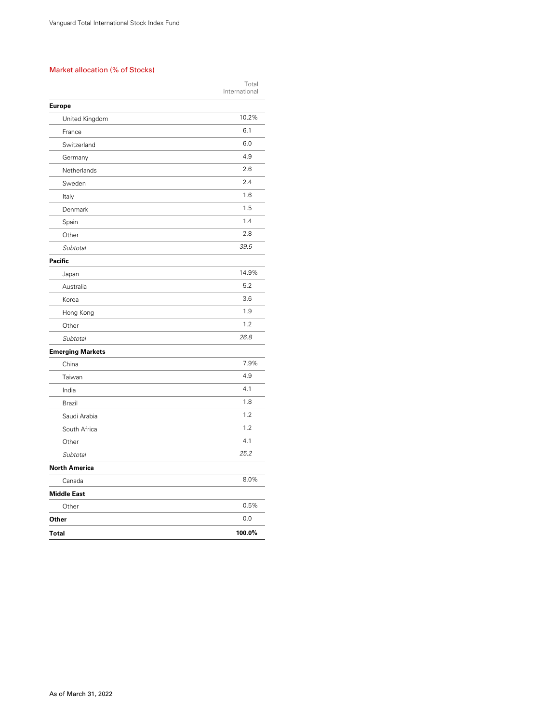## Market allocation (% of Stocks)

|                         | Total<br>International |
|-------------------------|------------------------|
| <b>Europe</b>           |                        |
| United Kingdom          | 10.2%                  |
| France                  | 6.1                    |
| Switzerland             | 6.0                    |
| Germany                 | 4.9                    |
| Netherlands             | 2.6                    |
| Sweden                  | 2.4                    |
| Italy                   | 1.6                    |
| Denmark                 | 1.5                    |
| Spain                   | 1.4                    |
| Other                   | 2.8                    |
| Subtotal                | 39.5                   |
| <b>Pacific</b>          |                        |
| Japan                   | 14.9%                  |
| Australia               | 5.2                    |
| Korea                   | 3.6                    |
| Hong Kong               | 1.9                    |
| Other                   | 1.2                    |
| Subtotal                | 26.8                   |
| <b>Emerging Markets</b> |                        |
| China                   | 7.9%                   |
| Taiwan                  | 4.9                    |
| India                   | 4.1                    |
| Brazil                  | 1.8                    |
| Saudi Arabia            | 1.2                    |
| South Africa            | 1.2                    |
| Other                   | 4.1                    |
| Subtotal                | 25.2                   |
| <b>North America</b>    |                        |
| Canada                  | 8.0%                   |
| <b>Middle East</b>      |                        |
| Other                   | 0.5%                   |
| Other                   | 0.0                    |
| <b>Total</b>            | 100.0%                 |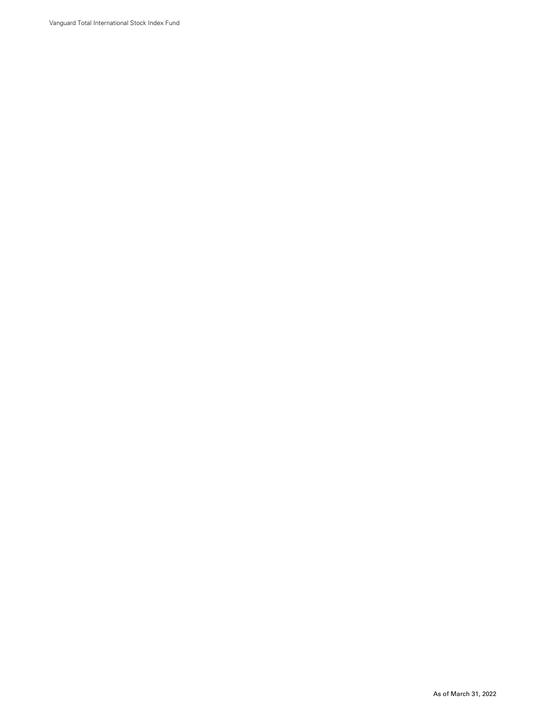Vanguard Total International Stock Index Fund